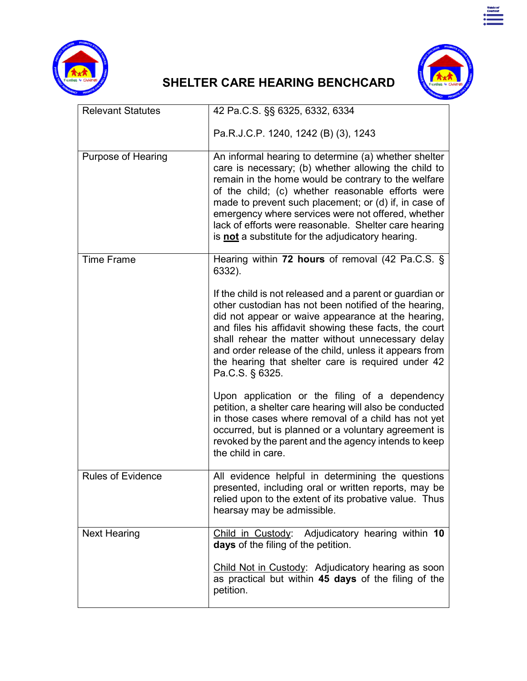



Table of<br>Content<br>**Communication** 

## **SHELTER CARE HEARING BENCHCARD**

| <b>Relevant Statutes</b>  | 42 Pa.C.S. §§ 6325, 6332, 6334                                                                                                                                                                                                                                                                                                                                                                                                                               |
|---------------------------|--------------------------------------------------------------------------------------------------------------------------------------------------------------------------------------------------------------------------------------------------------------------------------------------------------------------------------------------------------------------------------------------------------------------------------------------------------------|
|                           | Pa.R.J.C.P. 1240, 1242 (B) (3), 1243                                                                                                                                                                                                                                                                                                                                                                                                                         |
| <b>Purpose of Hearing</b> | An informal hearing to determine (a) whether shelter<br>care is necessary; (b) whether allowing the child to<br>remain in the home would be contrary to the welfare<br>of the child; (c) whether reasonable efforts were<br>made to prevent such placement; or (d) if, in case of<br>emergency where services were not offered, whether<br>lack of efforts were reasonable. Shelter care hearing<br>is <b>not</b> a substitute for the adjudicatory hearing. |
| <b>Time Frame</b>         | Hearing within 72 hours of removal (42 Pa.C.S. §<br>6332).                                                                                                                                                                                                                                                                                                                                                                                                   |
|                           | If the child is not released and a parent or guardian or<br>other custodian has not been notified of the hearing,<br>did not appear or waive appearance at the hearing,<br>and files his affidavit showing these facts, the court<br>shall rehear the matter without unnecessary delay<br>and order release of the child, unless it appears from<br>the hearing that shelter care is required under 42<br>Pa.C.S. § 6325.                                    |
|                           | Upon application or the filing of a dependency<br>petition, a shelter care hearing will also be conducted<br>in those cases where removal of a child has not yet<br>occurred, but is planned or a voluntary agreement is<br>revoked by the parent and the agency intends to keep<br>the child in care.                                                                                                                                                       |
| <b>Rules of Evidence</b>  | All evidence helpful in determining the questions<br>presented, including oral or written reports, may be<br>relied upon to the extent of its probative value. Thus<br>hearsay may be admissible.                                                                                                                                                                                                                                                            |
| <b>Next Hearing</b>       | Child in Custody: Adjudicatory hearing within 10<br>days of the filing of the petition.                                                                                                                                                                                                                                                                                                                                                                      |
|                           | Child Not in Custody: Adjudicatory hearing as soon<br>as practical but within 45 days of the filing of the<br>petition.                                                                                                                                                                                                                                                                                                                                      |